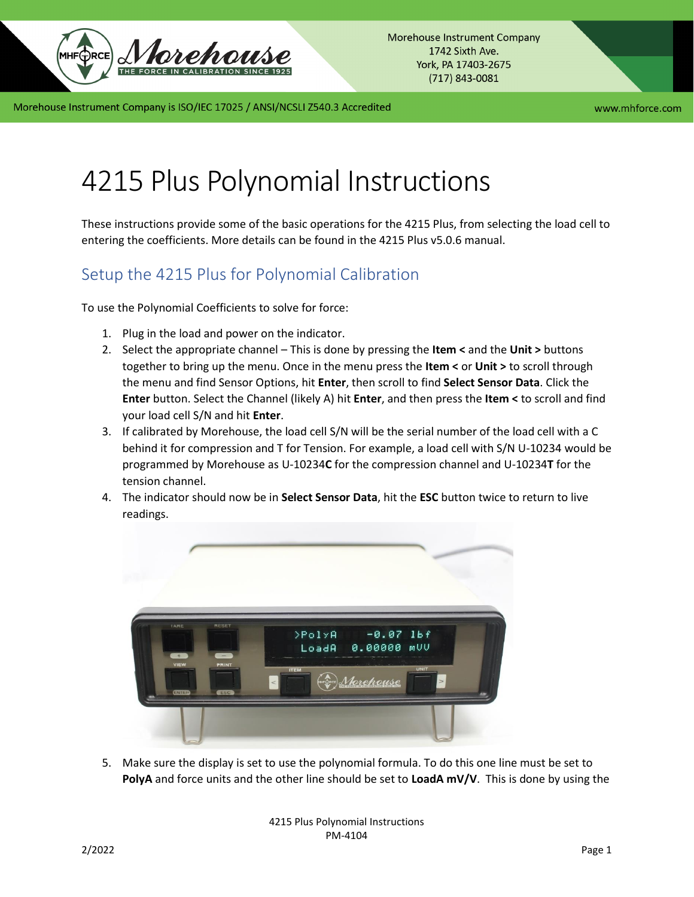

## 4215 Plus Polynomial Instructions

These instructions provide some of the basic operations for the 4215 Plus, from selecting the load cell to entering the coefficients. More details can be found in the 4215 Plus v5.0.6 manual.

## Setup the 4215 Plus for Polynomial Calibration

To use the Polynomial Coefficients to solve for force:

- 1. Plug in the load and power on the indicator.
- 2. Select the appropriate channel This is done by pressing the **Item <** and the **Unit >** buttons together to bring up the menu. Once in the menu press the **Item <** or **Unit >** to scroll through the menu and find Sensor Options, hit **Enter**, then scroll to find **Select Sensor Data**. Click the **Enter** button. Select the Channel (likely A) hit **Enter**, and then press the **Item <** to scroll and find your load cell S/N and hit **Enter**.
- 3. If calibrated by Morehouse, the load cell S/N will be the serial number of the load cell with a C behind it for compression and T for Tension. For example, a load cell with S/N U-10234 would be programmed by Morehouse as U-10234**C** for the compression channel and U-10234**T** for the tension channel.
- 4. The indicator should now be in **Select Sensor Data**, hit the **ESC** button twice to return to live readings.



5. Make sure the display is set to use the polynomial formula. To do this one line must be set to **PolyA** and force units and the other line should be set to **LoadA mV/V**. This is done by using the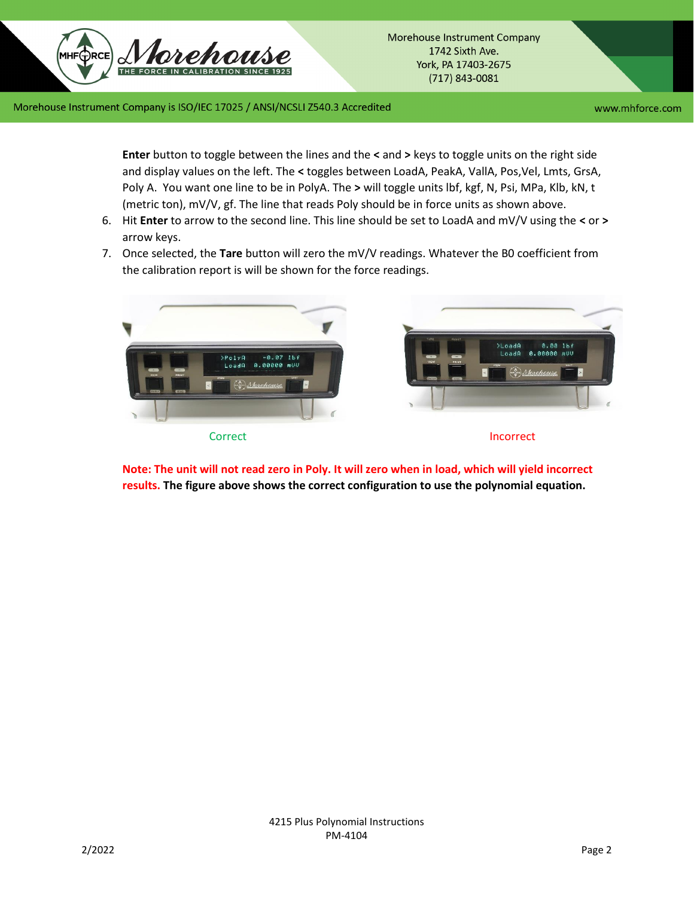www.mhforce.com

**Enter** button to toggle between the lines and the **<** and **>** keys to toggle units on the right side and display values on the left. The **<** toggles between LoadA, PeakA, VallA, Pos,Vel, Lmts, GrsA, Poly A. You want one line to be in PolyA. The **>** will toggle units lbf, kgf, N, Psi, MPa, Klb, kN, t (metric ton), mV/V, gf. The line that reads Poly should be in force units as shown above.

- 6. Hit **Enter** to arrow to the second line. This line should be set to LoadA and mV/V using the **<** or **>** arrow keys.
- 7. Once selected, the **Tare** button will zero the mV/V readings. Whatever the B0 coefficient from the calibration report is will be shown for the force readings.



**Note: The unit will not read zero in Poly. It will zero when in load, which will yield incorrect results. The figure above shows the correct configuration to use the polynomial equation.**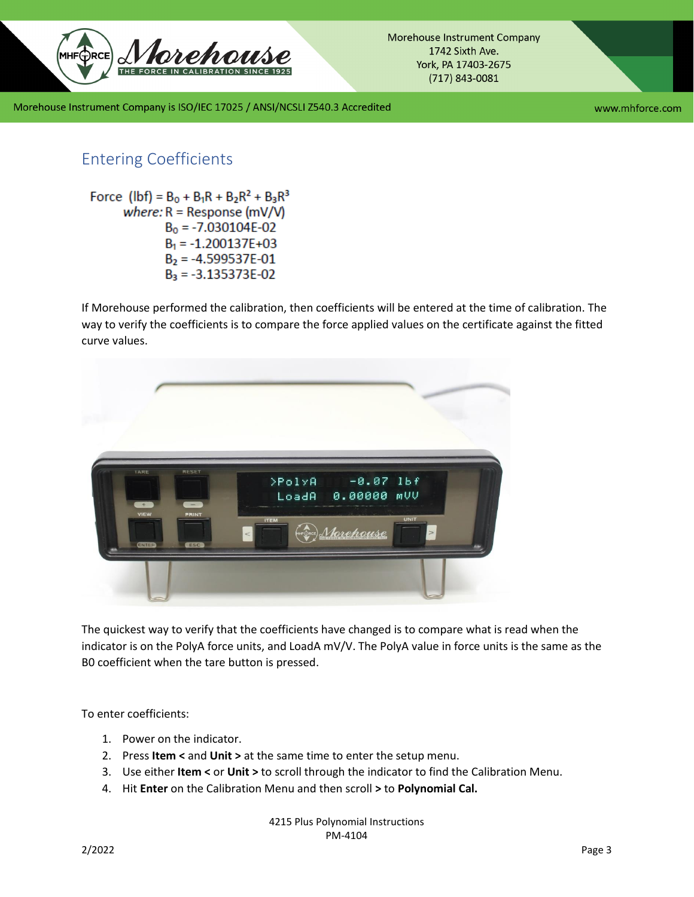

www.mhforce.com

## Entering Coefficients

Force (lbf) =  $B_0 + B_1R + B_2R^2 + B_3R^3$ where:  $R =$  Response (mV/V)  $B_0 = -7.030104E - 02$  $B_1 = -1.200137E + 03$  $B_2 = -4.599537E - 01$  $B_3 = -3.135373E-02$ 

If Morehouse performed the calibration, then coefficients will be entered at the time of calibration. The way to verify the coefficients is to compare the force applied values on the certificate against the fitted curve values.



The quickest way to verify that the coefficients have changed is to compare what is read when the indicator is on the PolyA force units, and LoadA mV/V. The PolyA value in force units is the same as the B0 coefficient when the tare button is pressed.

To enter coefficients:

- 1. Power on the indicator.
- 2. Press **Item <** and **Unit >** at the same time to enter the setup menu.
- 3. Use either **Item <** or **Unit >** to scroll through the indicator to find the Calibration Menu.
- 4. Hit **Enter** on the Calibration Menu and then scroll **>** to **Polynomial Cal.**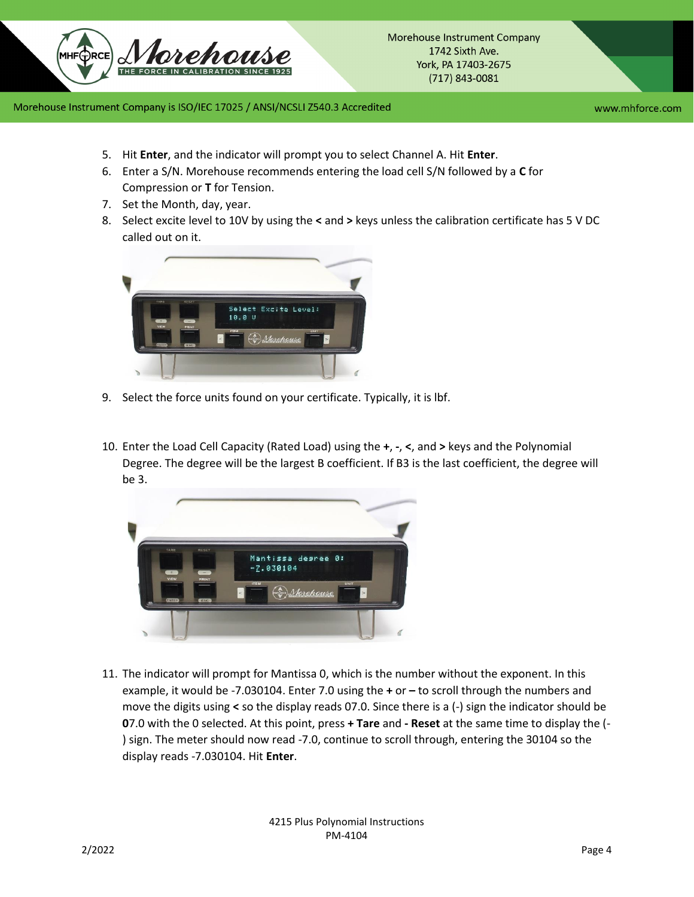

www.mhforce.com

- 5. Hit **Enter**, and the indicator will prompt you to select Channel A. Hit **Enter**.
- 6. Enter a S/N. Morehouse recommends entering the load cell S/N followed by a **C** for Compression or **T** for Tension.
- 7. Set the Month, day, year.
- 8. Select excite level to 10V by using the **<** and **>** keys unless the calibration certificate has 5 V DC called out on it.



- 9. Select the force units found on your certificate. Typically, it is lbf.
- 10. Enter the Load Cell Capacity (Rated Load) using the **+**, **-**, **<**, and **>** keys and the Polynomial Degree. The degree will be the largest B coefficient. If B3 is the last coefficient, the degree will be 3.



11. The indicator will prompt for Mantissa 0, which is the number without the exponent. In this example, it would be -7.030104. Enter 7.0 using the **+** or **–** to scroll through the numbers and move the digits using **<** so the display reads 07.0. Since there is a (-) sign the indicator should be **0**7.0 with the 0 selected. At this point, press **+ Tare** and **- Reset** at the same time to display the (- ) sign. The meter should now read -7.0, continue to scroll through, entering the 30104 so the display reads -7.030104. Hit **Enter**.